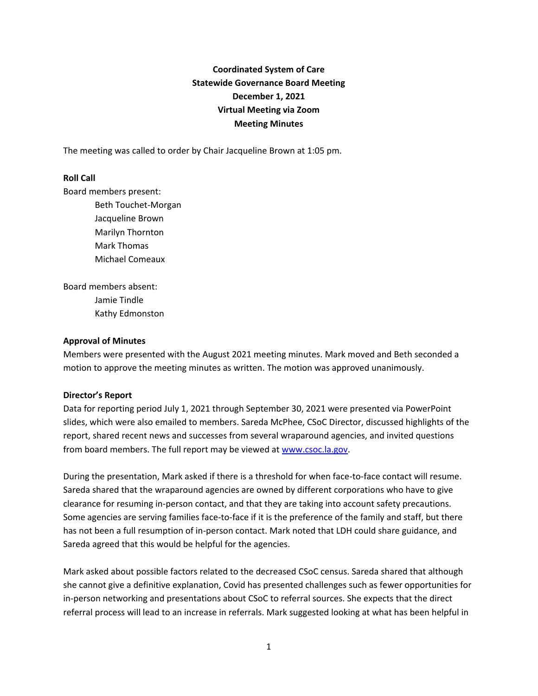# **Coordinated System of Care Statewide Governance Board Meeting December 1, 2021 Virtual Meeting via Zoom Meeting Minutes**

The meeting was called to order by Chair Jacqueline Brown at 1:05 pm.

### **Roll Call**

Board members present:

Beth Touchet-Morgan Jacqueline Brown Marilyn Thornton Mark Thomas Michael Comeaux

Board members absent: Jamie Tindle Kathy Edmonston

#### **Approval of Minutes**

Members were presented with the August 2021 meeting minutes. Mark moved and Beth seconded a motion to approve the meeting minutes as written. The motion was approved unanimously.

#### **Director's Report**

Data for reporting period July 1, 2021 through September 30, 2021 were presented via PowerPoint slides, which were also emailed to members. Sareda McPhee, CSoC Director, discussed highlights of the report, shared recent news and successes from several wraparound agencies, and invited questions from board members. The full report may be viewed at [www.csoc.la.gov.](http://www.csoc.la.gov/)

During the presentation, Mark asked if there is a threshold for when face-to-face contact will resume. Sareda shared that the wraparound agencies are owned by different corporations who have to give clearance for resuming in-person contact, and that they are taking into account safety precautions. Some agencies are serving families face-to-face if it is the preference of the family and staff, but there has not been a full resumption of in-person contact. Mark noted that LDH could share guidance, and Sareda agreed that this would be helpful for the agencies.

Mark asked about possible factors related to the decreased CSoC census. Sareda shared that although she cannot give a definitive explanation, Covid has presented challenges such as fewer opportunities for in-person networking and presentations about CSoC to referral sources. She expects that the direct referral process will lead to an increase in referrals. Mark suggested looking at what has been helpful in